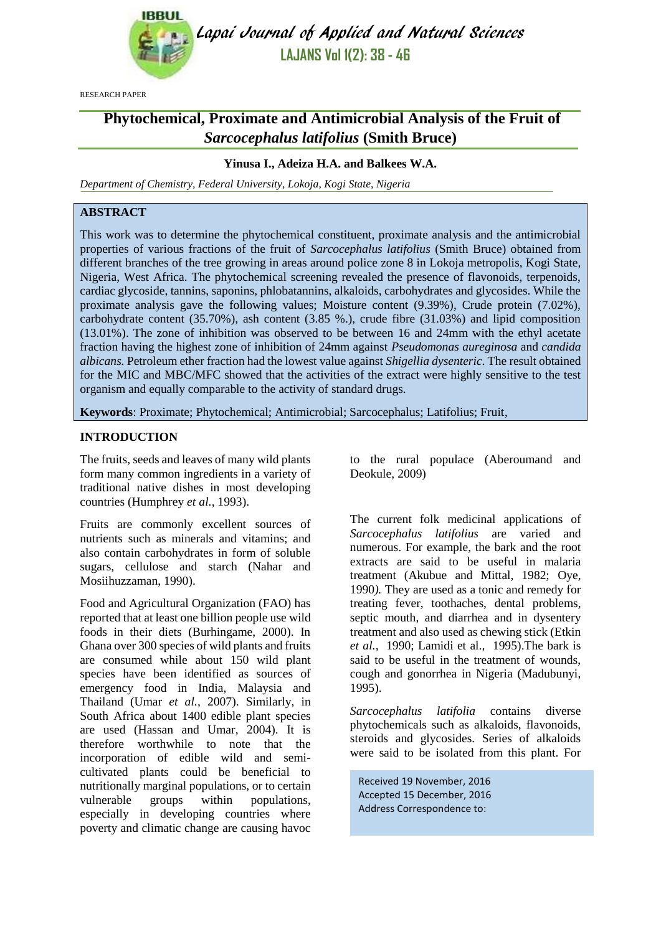

Lapai Journal of Applied and Natural Sciences **LAJANS Vol 1(2): 38 - 46**

RESEARCH PAPER

# **Phytochemical, Proximate and Antimicrobial Analysis of the Fruit of**  *Sarcocephalus latifolius* **(Smith Bruce)**

## **Yinusa I., Adeiza H.A. and Balkees W.A.**

*Department of Chemistry, Federal University, Lokoja, Kogi State, Nigeria*

# **ABSTRACT**

This work was to determine the phytochemical constituent, proximate analysis and the antimicrobial properties of various fractions of the fruit of *Sarcocephalus latifolius* (Smith Bruce) obtained from different branches of the tree growing in areas around police zone 8 in Lokoja metropolis, Kogi State, Nigeria, West Africa. The phytochemical screening revealed the presence of flavonoids, terpenoids, cardiac glycoside, tannins, saponins, phlobatannins, alkaloids, carbohydrates and glycosides. While the proximate analysis gave the following values; Moisture content (9.39%), Crude protein (7.02%), carbohydrate content (35.70%), ash content (3.85 %.), crude fibre (31.03%) and lipid composition (13.01%). The zone of inhibition was observed to be between 16 and 24mm with the ethyl acetate fraction having the highest zone of inhibition of 24mm against *Pseudomonas aureginosa* and *candida albicans.* Petroleum ether fraction had the lowest value against *Shigellia dysenteric*. The result obtained for the MIC and MBC/MFC showed that the activities of the extract were highly sensitive to the test organism and equally comparable to the activity of standard drugs.

**Keywords**: Proximate; Phytochemical; Antimicrobial; Sarcocephalus; Latifolius; Fruit,

#### **INTRODUCTION**

The fruits, seeds and leaves of many wild plants form many common ingredients in a variety of traditional native dishes in most developing countries (Humphrey *et al.*, 1993).

Fruits are commonly excellent sources of nutrients such as minerals and vitamins; and also contain carbohydrates in form of soluble sugars, cellulose and starch (Nahar and Mosiihuzzaman, 1990).

Food and Agricultural Organization (FAO) has reported that at least one billion people use wild foods in their diets (Burhingame, 2000). In Ghana over 300 species of wild plants and fruits are consumed while about 150 wild plant species have been identified as sources of emergency food in India, Malaysia and Thailand (Umar *et al.*, 2007). Similarly, in South Africa about 1400 edible plant species are used (Hassan and Umar, 2004). It is therefore worthwhile to note that the incorporation of edible wild and semicultivated plants could be beneficial to nutritionally marginal populations, or to certain vulnerable groups within populations, especially in developing countries where poverty and climatic change are causing havoc to the rural populace (Aberoumand and Deokule, 2009)

The current folk medicinal applications of *Sarcocephalus latifolius* are varied and numerous. For example, the bark and the root extracts are said to be useful in malaria treatment (Akubue and Mittal, 1982; Oye, 1990*).* They are used as a tonic and remedy for treating fever, toothaches, dental problems, septic mouth, and diarrhea and in dysentery treatment and also used as chewing stick (Etkin *et al.,* 1990; Lamidi et al., 1995).The bark is said to be useful in the treatment of wounds, cough and gonorrhea in Nigeria (Madubunyi, 1995).

*Sarcocephalus latifolia* contains diverse phytochemicals such as alkaloids, flavonoids, steroids and glycosides. Series of alkaloids were said to be isolated from this plant. For

Received 19 November, 2016 Accepted 15 December, 2016 Address Correspondence to: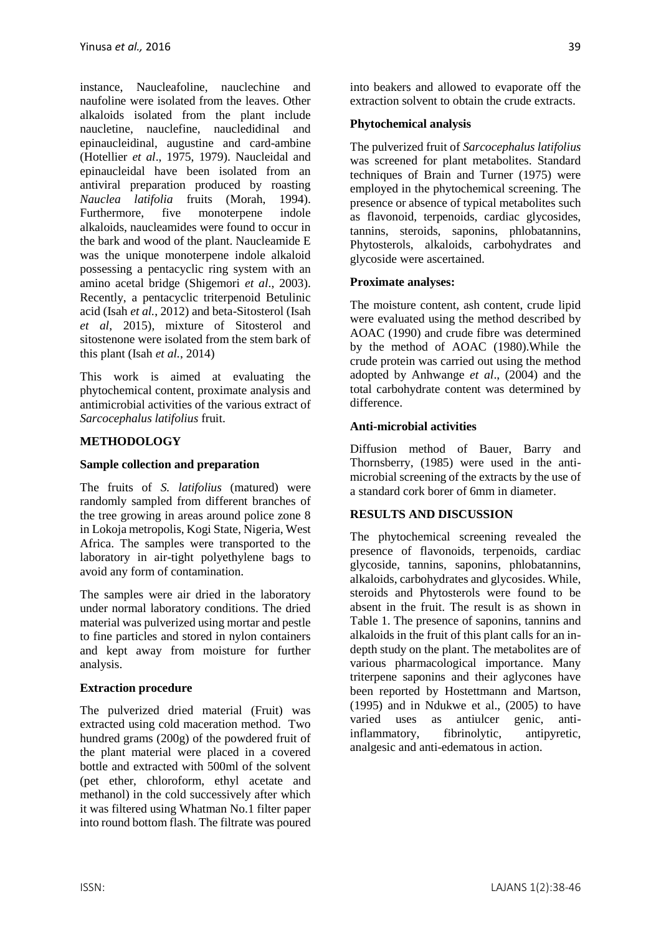instance, Naucleafoline, nauclechine and naufoline were isolated from the leaves. Other alkaloids isolated from the plant include naucletine, nauclefine, naucledidinal and epinaucleidinal, augustine and card-ambine [\(Hotellier](file:///C:/Users/ADEIZA/Desktop/ADAM/PROJECT%20AID/Sub-Saharan%20Rubiaceae%20%20A%20Review%20of%20Their%20Traditional%20Uses,%20Phytochemistry%20and%20Biological%20Activities.htm%23692143_ja) *et al*., 1975, [1979\)](file:///C:/Users/ADEIZA/Desktop/ADAM/PROJECT%20AID/Sub-Saharan%20Rubiaceae%20%20A%20Review%20of%20Their%20Traditional%20Uses,%20Phytochemistry%20and%20Biological%20Activities.htm%23676123_ja). Naucleidal and epinaucleidal have been isolated from an antiviral preparation produced by roasting *Nauclea latifolia* fruits [\(Morah, 1994\)](file:///C:/Users/ADEIZA/Desktop/ADAM/PROJECT%20AID/Sub-Saharan%20Rubiaceae%20%20A%20Review%20of%20Their%20Traditional%20Uses,%20Phytochemistry%20and%20Biological%20Activities.htm%23676520_ja). Furthermore, five monoterpene indole alkaloids, naucleamides were found to occur in the bark and wood of the plant. Naucleamide E was the unique monoterpene indole alkaloid possessing a pentacyclic ring system with an amino acetal bridge [\(Shigemori](file:///C:/Users/ADEIZA/Desktop/ADAM/PROJECT%20AID/Sub-Saharan%20Rubiaceae%20%20A%20Review%20of%20Their%20Traditional%20Uses,%20Phytochemistry%20and%20Biological%20Activities.htm%23676767_ja) *et al*., 2003). Recently, a pentacyclic triterpenoid Betulinic acid (Isah *et al.*, 2012) and beta-Sitosterol (Isah *et al*, 2015), mixture of Sitosterol and sitostenone were isolated from the stem bark of this plant (Isah *et al.*, 2014)

This work is aimed at evaluating the phytochemical content, proximate analysis and antimicrobial activities of the various extract of *Sarcocephalus latifolius* fruit.

# **METHODOLOGY**

## **Sample collection and preparation**

The fruits of *S. latifolius* (matured) were randomly sampled from different branches of the tree growing in areas around police zone 8 in Lokoja metropolis, Kogi State, Nigeria, West Africa. The samples were transported to the laboratory in air-tight polyethylene bags to avoid any form of contamination.

The samples were air dried in the laboratory under normal laboratory conditions. The dried material was pulverized using mortar and pestle to fine particles and stored in nylon containers and kept away from moisture for further analysis.

#### **Extraction procedure**

The pulverized dried material (Fruit) was extracted using cold maceration method. Two hundred grams (200g) of the powdered fruit of the plant material were placed in a covered bottle and extracted with 500ml of the solvent (pet ether, chloroform, ethyl acetate and methanol) in the cold successively after which it was filtered using Whatman No.1 filter paper into round bottom flash. The filtrate was poured into beakers and allowed to evaporate off the extraction solvent to obtain the crude extracts.

## **Phytochemical analysis**

The pulverized fruit of *Sarcocephalus latifolius*  was screened for plant metabolites. Standard techniques of Brain and Turner (1975) were employed in the phytochemical screening. The presence or absence of typical metabolites such as flavonoid, terpenoids, cardiac glycosides, tannins, steroids, saponins, phlobatannins, Phytosterols, alkaloids, carbohydrates and glycoside were ascertained.

## **Proximate analyses:**

The moisture content, ash content, crude lipid were evaluated using the method described by AOAC (1990) and crude fibre was determined by the method of AOAC (1980).While the crude protein was carried out using the method adopted by Anhwange *et al*., (2004) and the total carbohydrate content was determined by difference.

## **Anti-microbial activities**

Diffusion method of Bauer, Barry and Thornsberry, (1985) were used in the antimicrobial screening of the extracts by the use of a standard cork borer of 6mm in diameter.

#### **RESULTS AND DISCUSSION**

The phytochemical screening revealed the presence of flavonoids, terpenoids, cardiac glycoside, tannins, saponins, phlobatannins, alkaloids, carbohydrates and glycosides. While, steroids and Phytosterols were found to be absent in the fruit. The result is as shown in Table 1. The presence of saponins, tannins and alkaloids in the fruit of this plant calls for an indepth study on the plant. The metabolites are of various pharmacological importance. Many triterpene saponins and their aglycones have been reported by Hostettmann and Martson,  $(1995)$  and in Ndukwe et al.,  $(2005)$  to have varied uses as antiulcer genic, antiinflammatory, fibrinolytic, antipyretic, analgesic and anti-edematous in action.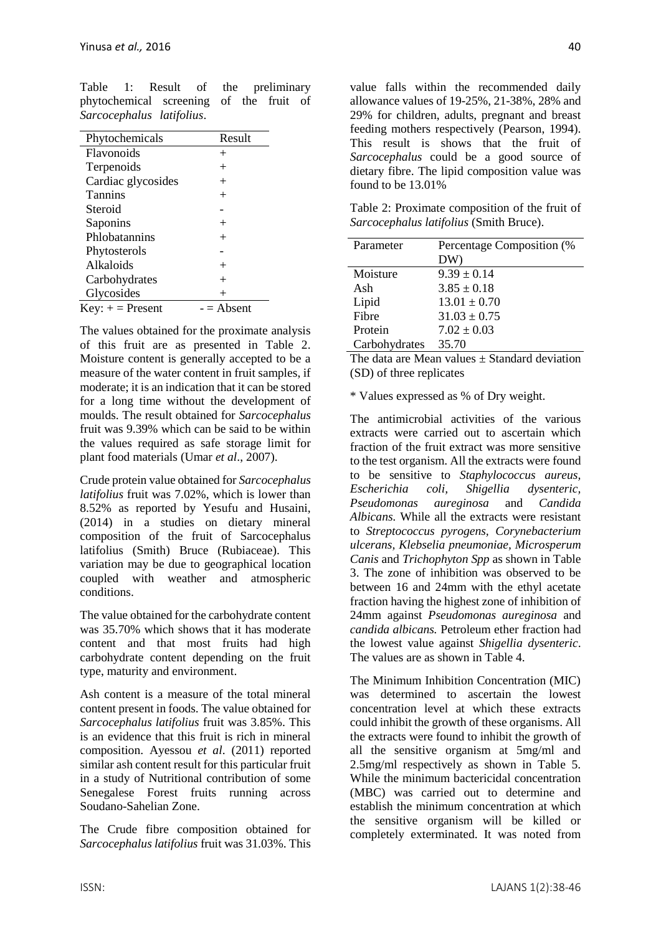Table 1: Result of the preliminary phytochemical screening of the fruit of *Sarcocephalus latifolius*.

| Phytochemicals     | Result     |
|--------------------|------------|
| Flavonoids         | $^+$       |
| Terpenoids         | $\,+\,$    |
| Cardiac glycosides | $^+$       |
| <b>Tannins</b>     | $^+$       |
| Steroid            |            |
| Saponins           | $^{+}$     |
| Phlobatannins      | $^+$       |
| Phytosterols       |            |
| Alkaloids          | $^+$       |
| Carbohydrates      | $\, +$     |
| Glycosides         | $\, +$     |
| $Key: += Present$  | - = Absent |

The values obtained for the proximate analysis of this fruit are as presented in Table 2. Moisture content is generally accepted to be a measure of the water content in fruit samples, if moderate; it is an indication that it can be stored for a long time without the development of moulds. The result obtained for *Sarcocephalus* fruit was 9.39% which can be said to be within the values required as safe storage limit for plant food materials (Umar *et al*., 2007).

Crude protein value obtained for *Sarcocephalus latifolius* fruit was 7.02%, which is lower than 8.52% as reported by Yesufu and Husaini, (2014) in a studies on dietary mineral composition of the fruit of Sarcocephalus latifolius (Smith) Bruce (Rubiaceae). This variation may be due to geographical location coupled with weather and atmospheric conditions.

The value obtained for the carbohydrate content was 35.70% which shows that it has moderate content and that most fruits had high carbohydrate content depending on the fruit type, maturity and environment.

Ash content is a measure of the total mineral content present in foods. The value obtained for *Sarcocephalus latifolius* fruit was 3.85%. This is an evidence that this fruit is rich in mineral composition. Ayessou *et al*. (2011) reported similar ash content result for this particular fruit in a study of [Nutritional contribution of](http://www.scirp.org/journal/PaperInformation.aspx?paperID=6619#.UzFVh1Mq-ZQ) some Senegalese Forest fruits running across Soudano-Sahelian Zone.

The Crude fibre composition obtained for *Sarcocephalus latifolius* fruit was 31.03%. This value falls within the recommended daily allowance values of 19-25%, 21-38%, 28% and 29% for children, adults, pregnant and breast feeding mothers respectively (Pearson, 1994). This result is shows that the fruit of *Sarcocephalus* could be a good source of dietary fibre. The lipid composition value was found to be 13.01%

Table 2: Proximate composition of the fruit of *Sarcocephalus latifolius* (Smith Bruce).

| Parameter     | Percentage Composition (%<br>DW) |
|---------------|----------------------------------|
| Moisture      | $9.39 \pm 0.14$                  |
| Ash           | $3.85 \pm 0.18$                  |
| Lipid         | $13.01 \pm 0.70$                 |
| Fibre         | $31.03 \pm 0.75$                 |
| Protein       | $7.02 \pm 0.03$                  |
| Carbohydrates | 35.70                            |

The data are Mean values  $\pm$  Standard deviation (SD) of three replicates

\* Values expressed as % of Dry weight.

The antimicrobial activities of the various extracts were carried out to ascertain which fraction of the fruit extract was more sensitive to the test organism. All the extracts were found to be sensitive to *Staphylococcus aureus, Escherichia coli, Shigellia dysenteric, Pseudomonas aureginosa* and *Candida Albicans.* While all the extracts were resistant to *Streptococcus pyrogens, Corynebacterium ulcerans, Klebselia pneumoniae, Microsperum Canis* and *Trichophyton Spp* as shown in Table 3. The zone of inhibition was observed to be between 16 and 24mm with the ethyl acetate fraction having the highest zone of inhibition of 24mm against *Pseudomonas aureginosa* and *candida albicans.* Petroleum ether fraction had the lowest value against *Shigellia dysenteric*. The values are as shown in Table 4.

The Minimum Inhibition Concentration (MIC) was determined to ascertain the lowest concentration level at which these extracts could inhibit the growth of these organisms. All the extracts were found to inhibit the growth of all the sensitive organism at 5mg/ml and 2.5mg/ml respectively as shown in Table 5. While the minimum bactericidal concentration (MBC) was carried out to determine and establish the minimum concentration at which the sensitive organism will be killed or completely exterminated. It was noted from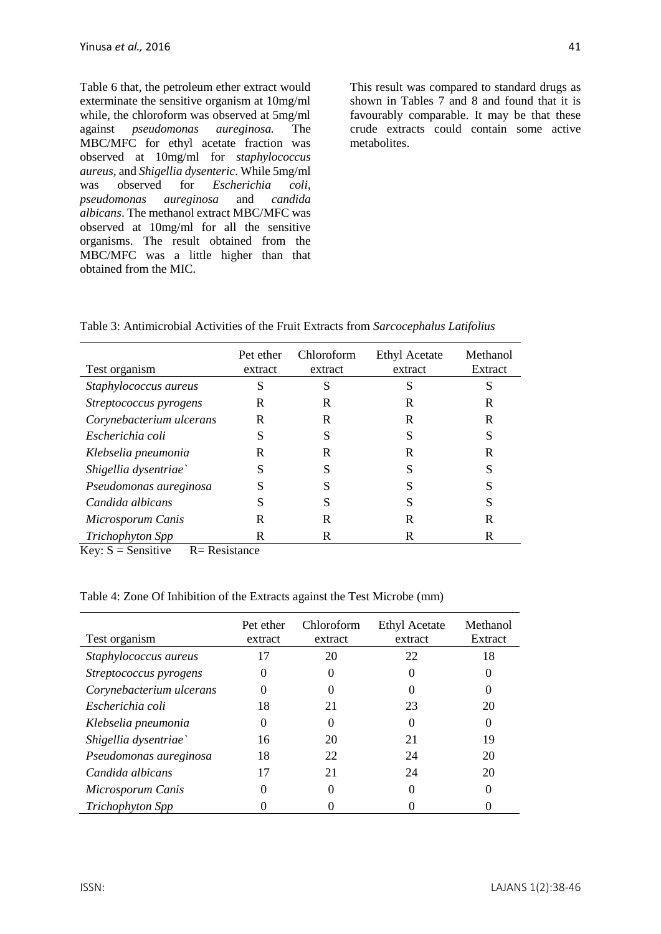Table 6 that, the petroleum ether extract would exterminate the sensitive organism at 10mg/ml while, the chloroform was observed at 5mg/ml<br>against *pseudomonas aureginosa*. The pseudomonas aureginosa. The MBC/MFC for ethyl acetate fraction was observed at 10mg/ml for *staphylococcus aureus*, and *Shigellia dysenteric*. While 5mg/ml was observed for *Escherichia coli, pseudomonas aureginosa* and *candida albicans*. The methanol extract MBC/MFC was observed at 10mg/ml for all the sensitive organisms. The result obtained from the MBC/MFC was a little higher than that obtained from the MIC.

This result was compared to standard drugs as shown in Tables 7 and 8 and found that it is favourably comparable. It may be that these crude extracts could contain some active metabolites.

| Table 3: Antimicrobial Activities of the Fruit Extracts from Sarcocephalus Latifolius |  |  |  |  |  |  |
|---------------------------------------------------------------------------------------|--|--|--|--|--|--|
|---------------------------------------------------------------------------------------|--|--|--|--|--|--|

| Test organism            | Pet ether<br>extract | Chloroform<br>extract | <b>Ethyl Acetate</b><br>extract | Methanol<br>Extract |
|--------------------------|----------------------|-----------------------|---------------------------------|---------------------|
| Staphylococcus aureus    | S                    | S                     | S                               | S                   |
| Streptococcus pyrogens   | R                    | R                     | R                               | R                   |
| Corynebacterium ulcerans | R                    | R                     | R                               | R                   |
| Escherichia coli         | S                    | S                     | S                               | S                   |
| Klebselia pneumonia      | R                    | R                     | R                               | R                   |
| Shigellia dysentriae`    | S                    |                       |                                 | S                   |
| Pseudomonas aureginosa   | S                    |                       |                                 |                     |
| Candida albicans         | S                    |                       |                                 | S                   |
| Microsporum Canis        | R                    | R                     | R                               | R                   |
| Trichophyton Spp         | R                    | R                     | R                               | R                   |

Key:  $S =$  Sensitive  $R =$  Resistance

#### Table 4: Zone Of Inhibition of the Extracts against the Test Microbe (mm)

| Test organism            | Pet ether<br>extract | <b>Chloroform</b><br>extract | <b>Ethyl Acetate</b><br>extract | Methanol<br>Extract |
|--------------------------|----------------------|------------------------------|---------------------------------|---------------------|
| Staphylococcus aureus    | 17                   | 20                           | 22                              | 18                  |
| Streptococcus pyrogens   | $\Omega$             |                              | $\mathbf{\Omega}$               |                     |
| Corynebacterium ulcerans |                      |                              |                                 |                     |
| Escherichia coli         | 18                   | 21                           | 23                              | 20                  |
| Klebselia pneumonia      | $\Omega$             | 0                            | $\left( \right)$                |                     |
| Shigellia dysentriae`    | 16                   | 20                           | 21                              | 19                  |
| Pseudomonas aureginosa   | 18                   | 22                           | 24                              | 20                  |
| Candida albicans         | 17                   | 21                           | 24                              | 20                  |
| Microsporum Canis        |                      |                              |                                 |                     |
| Trichophyton Spp         |                      |                              |                                 |                     |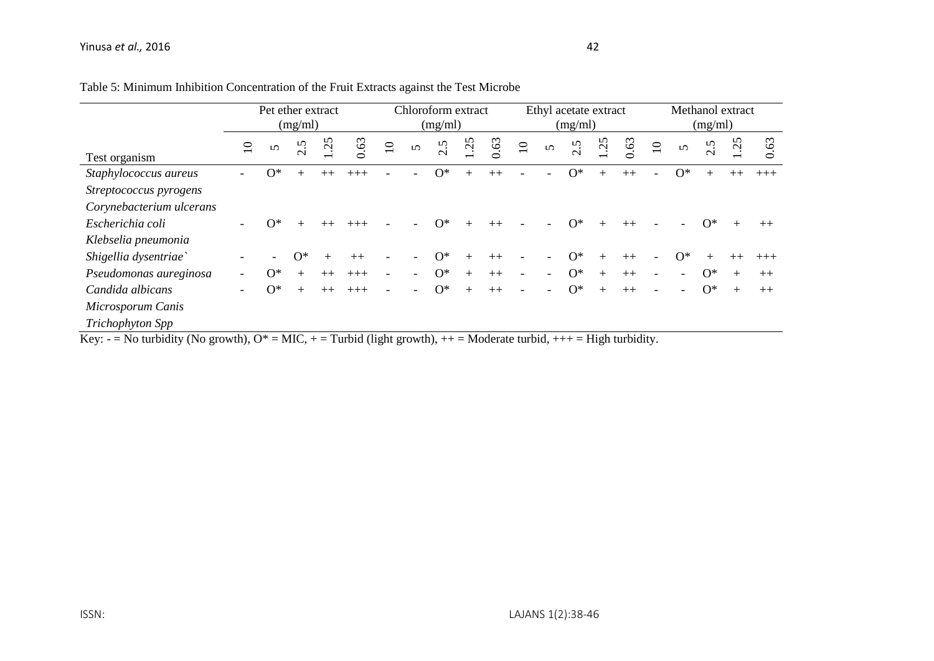|                                                                                                                            | Pet ether extract<br>(mg/ml) |            |              |                          |       | Chloroform extract<br>(mg/ml) |          |                        |                 |      | Ethyl acetate extract<br>(mg/ml) |          |                         |           |      |                 | Methanol extract<br>(mg/ml) |                         |              |       |
|----------------------------------------------------------------------------------------------------------------------------|------------------------------|------------|--------------|--------------------------|-------|-------------------------------|----------|------------------------|-----------------|------|----------------------------------|----------|-------------------------|-----------|------|-----------------|-----------------------------|-------------------------|--------------|-------|
|                                                                                                                            | $\overline{10}$              | $\Omega$   | Ċ,<br>$\sim$ | n<br>$\dot{\mathcal{G}}$ | 63    | $\overline{10}$               | $\Omega$ | Ċ<br>$\mathbf{\Omega}$ | $\overline{25}$ | 63   | $\overline{10}$                  | $\Omega$ | Ċ,<br>$\mathbf{\Omega}$ | 25        | 63   | $\overline{10}$ | $\Omega$                    | Ċ,<br>$\mathbf{\Omega}$ | $\mathbf{C}$ | 0.63  |
| Test organism                                                                                                              |                              |            |              |                          |       |                               |          |                        |                 |      |                                  |          |                         |           |      |                 |                             |                         |              |       |
| Staphylococcus aureus                                                                                                      |                              | $\Omega^*$ | $^{+}$       | $++$                     | $+++$ |                               |          | $O^*$                  |                 | $++$ |                                  |          | $\Omega^*$              |           |      |                 | $\Omega^*$                  | $^{+}$                  |              | $+++$ |
| Streptococcus pyrogens                                                                                                     |                              |            |              |                          |       |                               |          |                        |                 |      |                                  |          |                         |           |      |                 |                             |                         |              |       |
| Corynebacterium ulcerans                                                                                                   |                              |            |              |                          |       |                               |          |                        |                 |      |                                  |          |                         |           |      |                 |                             |                         |              |       |
| Escherichia coli                                                                                                           | $\overline{\phantom{0}}$     | $\Omega^*$ |              |                          |       |                               |          | $O^*$                  |                 |      |                                  |          | $O^*$                   |           |      |                 |                             | $O^*$                   |              | $++$  |
| Klebselia pneumonia                                                                                                        |                              |            |              |                          |       |                               |          |                        |                 |      |                                  |          |                         |           |      |                 |                             |                         |              |       |
| Shigellia dysentriae`                                                                                                      |                              |            | $O^*$        | $^{+}$                   | $++$  |                               |          | $O^*$                  | $^{+}$          | $++$ |                                  |          | $O^*$                   | $\ddot{}$ |      |                 | $O^*$                       | $^{+}$                  |              | $+++$ |
| Pseudomonas aureginosa                                                                                                     |                              | $O^*$      | $^{+}$       | $^{++}$                  |       |                               |          | $O^*$                  | $+$             | $++$ |                                  |          | $O^*$                   | $+$       | $++$ |                 |                             | $O^*$                   | $+$          | $++$  |
| Candida albicans                                                                                                           | $\overline{\phantom{0}}$     | $O^*$      | $^{+}$       | $^{++}$                  |       |                               |          | $O^*$                  | $+$             | $++$ |                                  |          | $O^*$                   | $+$       | $++$ |                 |                             | $O^*$                   | $+$          | $++$  |
| Microsporum Canis                                                                                                          |                              |            |              |                          |       |                               |          |                        |                 |      |                                  |          |                         |           |      |                 |                             |                         |              |       |
| Trichophyton Spp                                                                                                           |                              |            |              |                          |       |                               |          |                        |                 |      |                                  |          |                         |           |      |                 |                             |                         |              |       |
| Key: - = No turbidity (No growth), $O^* = MIC$ , + = Turbid (light growth), + + = Moderate turbid, + + + = High turbidity. |                              |            |              |                          |       |                               |          |                        |                 |      |                                  |          |                         |           |      |                 |                             |                         |              |       |

Table 5: Minimum Inhibition Concentration of the Fruit Extracts against the Test Microbe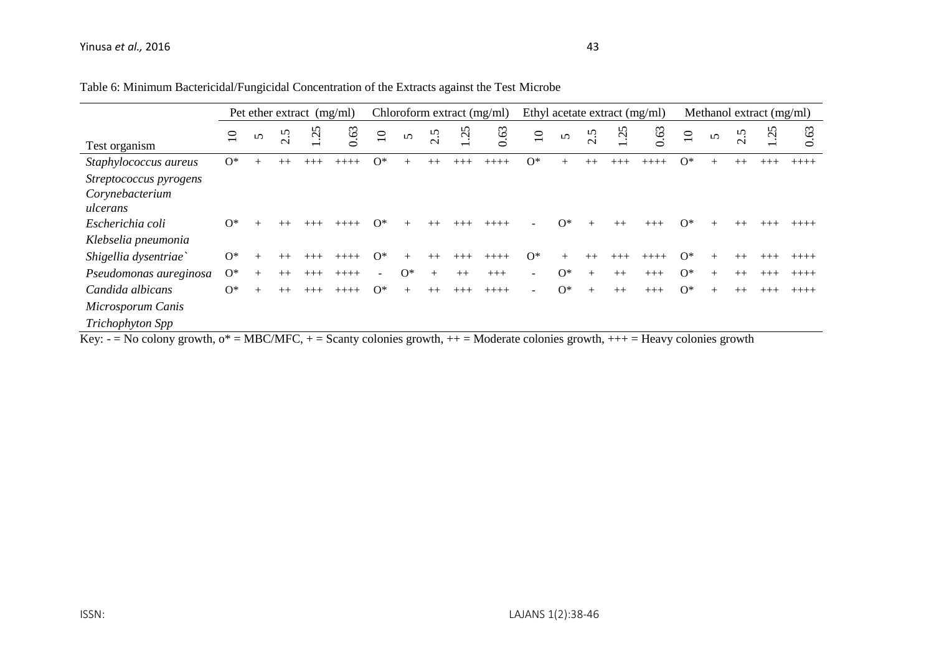|                                |                 | Chloroform extract (mg/ml)<br>Pet ether extract $(mg/ml)$ |             |           |               |                 |          |              | Ethyl acetate extract (mg/ml) |                                |                          |            |        | Methanol extract (mg/ml)   |           |                 |          |         |              |         |
|--------------------------------|-----------------|-----------------------------------------------------------|-------------|-----------|---------------|-----------------|----------|--------------|-------------------------------|--------------------------------|--------------------------|------------|--------|----------------------------|-----------|-----------------|----------|---------|--------------|---------|
| Test organism                  | $\overline{10}$ | $\mathbf{v}$                                              | n<br>$\sim$ | $\dot{q}$ | 0.63          | $\overline{10}$ | $\Omega$ | 2.5          | $\tilde{\mathcal{L}}$         | 0.63                           | $\overline{10}$          | $\sim$     | 2.5    | $\tilde{\mathcal{L}}$      | 0.63      | $\overline{10}$ | $\Omega$ | 2.5     | $\mathbf{C}$ | 63      |
| Staphylococcus aureus          | $O^*$           | $+$                                                       | $++$        |           |               | $O^*$           |          | $++$         | $+++$                         | $+++++$                        | $O^*$                    |            |        |                            |           | $O^*$           |          |         |              |         |
| Streptococcus pyrogens         |                 |                                                           |             |           |               |                 |          |              |                               |                                |                          |            |        |                            |           |                 |          |         |              |         |
| Corynebacterium<br>ulcerans    |                 |                                                           |             |           |               |                 |          |              |                               |                                |                          |            |        |                            |           |                 |          |         |              |         |
| Escherichia coli               | $O^*$           |                                                           |             |           |               | $^*$            |          |              |                               |                                |                          | $\Omega^*$ |        |                            |           | ∩*              |          |         |              |         |
| Klebselia pneumonia            |                 |                                                           |             |           |               |                 |          |              |                               |                                |                          |            |        |                            |           |                 |          |         |              |         |
| Shigellia dysentriae`          | $O^*$           |                                                           |             |           |               | $O^*$           |          | $++$         | $+++$                         | $++++-$                        | $O^*$                    |            |        | $^{+++}$                   |           | $\Omega^*$      |          | $^{++}$ |              |         |
| Pseudomonas aureginosa         | $\Omega^*$      |                                                           | $++$        |           |               |                 | $O^*$    |              | $++$                          | $+++$                          | $\overline{\phantom{a}}$ | $O^*$      | $^{+}$ | $++$                       | $+++$     | $O^*$           |          | $++$    |              | $+++++$ |
| Candida albicans               | $O^*$           |                                                           |             |           | $+++++$       | $O^*$           |          | $++$         | $+++$                         | $++++$                         |                          | $O^*$      | $^{+}$ | $++$                       | $+++$     | $O^*$           |          | $++$    |              | $+++++$ |
| Microsporum Canis              |                 |                                                           |             |           |               |                 |          |              |                               |                                |                          |            |        |                            |           |                 |          |         |              |         |
| Trichophyton Spp<br>T <i>T</i> | ste in          |                                                           | 1.00010     |           | $\sim$ $\sim$ | $\mathbf{1}$    |          | $\mathbf{1}$ |                               | $\mathbf{X} \times \mathbf{I}$ | $\mathbf{1}$             |            |        | <b>SALES AND RESIDENCE</b> | <b>TT</b> | $\sim$          |          |         |              |         |

## Table 6: Minimum Bactericidal/Fungicidal Concentration of the Extracts against the Test Microbe

Key:  $-$  = No colony growth,  $o^*$  = MBC/MFC,  $+$  = Scanty colonies growth,  $++$  = Moderate colonies growth,  $++$  = Heavy colonies growth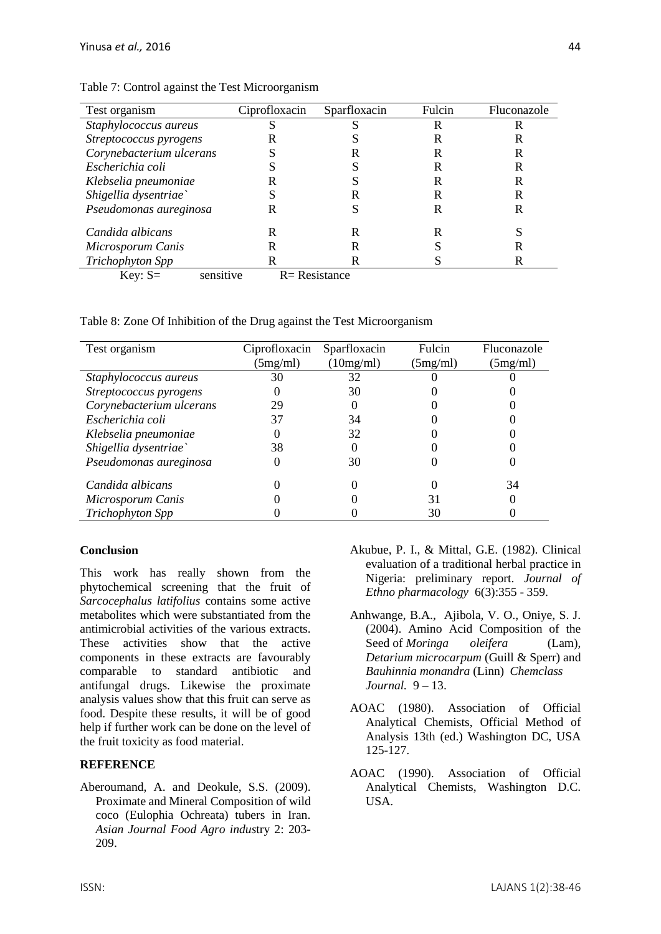| Test organism                                                | Ciprofloxacin | Sparfloxacin      | Fulcin | Fluconazole |
|--------------------------------------------------------------|---------------|-------------------|--------|-------------|
| Staphylococcus aureus                                        |               |                   | R      | R           |
| Streptococcus pyrogens                                       |               |                   |        | R           |
| Corynebacterium ulcerans                                     |               |                   | R      | R           |
| Escherichia coli                                             |               |                   | R      | R           |
| Klebselia pneumoniae                                         |               |                   | R      | R           |
| Shigellia dysentriae`                                        |               |                   | R      | R           |
| Pseudomonas aureginosa                                       | R             |                   | R      | R           |
| Candida albicans                                             |               | R                 | R      |             |
| Microsporum Canis                                            |               |                   |        | R           |
| Trichophyton Spp                                             |               |                   |        | R           |
| concitivo<br>$V_{\alpha}$ $\alpha$ $\alpha$ $\beta$ $\alpha$ |               | $D - D$ orietance |        |             |

Table 7: Control against the Test Microorganism

Key:  $S=$  sensitive  $R=$  Resistance

Table 8: Zone Of Inhibition of the Drug against the Test Microorganism

| Test organism            | Ciprofloxacin | Sparfloxacin | Fulcin   | Fluconazole |
|--------------------------|---------------|--------------|----------|-------------|
|                          | $5mg/ml$ )    | (10mg/ml)    | (5mg/ml) | (5mg/ml)    |
| Staphylococcus aureus    | 30            | 32           |          |             |
| Streptococcus pyrogens   |               | 30           |          |             |
| Corynebacterium ulcerans | 29            |              |          |             |
| Escherichia coli         | 37            | 34           |          |             |
| Klebselia pneumoniae     |               | 32           |          |             |
| Shigellia dysentriae`    | 38            |              |          |             |
| Pseudomonas aureginosa   |               | 30           |          |             |
| Candida albicans         |               |              |          | 34          |
| Microsporum Canis        |               |              | 31       |             |
| Trichophyton Spp         |               |              | 30       |             |

#### **Conclusion**

This work has really shown from the phytochemical screening that the fruit of *Sarcocephalus latifolius* contains some active metabolites which were substantiated from the antimicrobial activities of the various extracts. These activities show that the active components in these extracts are favourably comparable to standard antibiotic and antifungal drugs. Likewise the proximate analysis values show that this fruit can serve as food. Despite these results, it will be of good help if further work can be done on the level of the fruit toxicity as food material.

#### **REFERENCE**

[Aberoumand, A. and Deokule, S.S. \(2009\).](http://www.researchgate.net/publication/237584237_Proximate_and_mineral_composition_of_wild_coco_%28Eulophia_ochreata_L.%29_tubers_in_Iran)  [Proximate and Mineral Composition of wild](http://www.researchgate.net/publication/237584237_Proximate_and_mineral_composition_of_wild_coco_%28Eulophia_ochreata_L.%29_tubers_in_Iran) [coco \(Eulophia Ochreata\) tubers in Iran.](http://www.researchgate.net/publication/237584237_Proximate_and_mineral_composition_of_wild_coco_%28Eulophia_ochreata_L.%29_tubers_in_Iran)  *[Asian Journal Food Agro indus](http://www.researchgate.net/publication/237584237_Proximate_and_mineral_composition_of_wild_coco_%28Eulophia_ochreata_L.%29_tubers_in_Iran)*try 2: 203- [209.](http://www.researchgate.net/publication/237584237_Proximate_and_mineral_composition_of_wild_coco_%28Eulophia_ochreata_L.%29_tubers_in_Iran)

- Akubue, P. I., & Mittal, G.E. (1982). Clinical evaluation of a traditional herbal practice in Nigeria: preliminary report. *Journal of Ethno pharmacology* 6(3):355 - 359.
- Anhwange, B.A., Ajibola, V. O., Oniye, S. J. (2004). Amino Acid Composition of the Seed of *Moringa* oleifera (Lam), *Detarium microcarpum* (Guill & Sperr) and *Bauhinnia monandra* (Linn) *Chemclass Journal.* 9 – 13.
- AOAC (1980). Association of Official Analytical Chemists, Official Method of Analysis 13th (ed.) Washington DC, USA 125-127.
- AOAC (1990). Association of Official Analytical Chemists, Washington D.C. USA.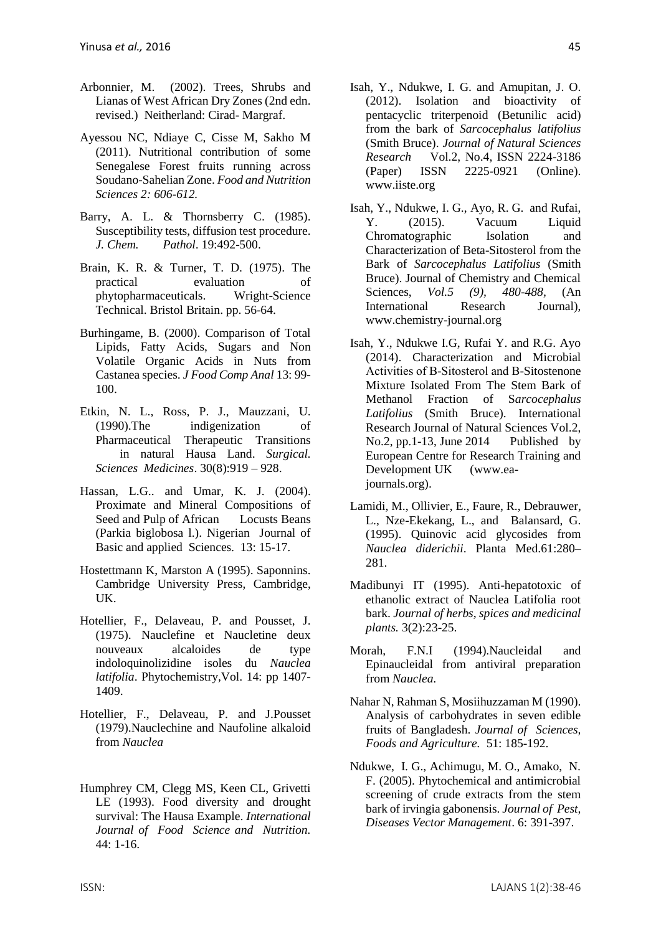- Arbonnier, M. (2002). Trees, Shrubs and Lianas of West African Dry Zones (2nd edn. revised.) Neitherland: Cirad- Margraf.
- [Ayessou NC, Ndiaye C, Cisse M, Sakho M](http://www.scirp.org/journal/PaperInformation.aspx?paperID=6619#.UzFVh1Mq-ZQ)  [\(2011\). Nutritional contribution of](http://www.scirp.org/journal/PaperInformation.aspx?paperID=6619#.UzFVh1Mq-ZQ) [some](http://www.scirp.org/journal/PaperInformation.aspx?paperID=6619#.UzFVh1Mq-ZQ)  [Senegalese Forest fruits running across](http://www.scirp.org/journal/PaperInformation.aspx?paperID=6619#.UzFVh1Mq-ZQ)  [Soudano-Sahelian](http://www.scirp.org/journal/PaperInformation.aspx?paperID=6619#.UzFVh1Mq-ZQ) Zone. *Food [and Nutrition](http://www.scirp.org/journal/PaperInformation.aspx?paperID=6619#.UzFVh1Mq-ZQ)  [Sciences 2: 606-612.](http://www.scirp.org/journal/PaperInformation.aspx?paperID=6619#.UzFVh1Mq-ZQ)*
- Barry, A. L. & Thornsberry C. (1985). Susceptibility tests, diffusion test procedure. *J. Chem. Pathol*. 19:492-500.
- Brain, K. R. & Turner, T. D. (1975). The practical evaluation of phytopharmaceuticals. Wright-Science Technical. Bristol Britain. pp. 56-64.
- Burhingame, B. (2000). Comparison of Total Lipids, Fatty Acids, Sugars and Non Volatile Organic Acids in Nuts from Castanea species. *J Food Comp Anal* 13: 99- 100.
- Etkin, N. L., Ross, P. J., Mauzzani, U. (1990).The indigenization of Pharmaceutical Therapeutic Transitions in natural Hausa Land. *Surgical. Sciences Medicines*. 30(8):919 – 928.
- Hassan, L.G.. and Umar, K. J. (2004). Proximate and Mineral Compositions of Seed and Pulp of African Locusts Beans (Parkia biglobosa l.). Nigerian Journal of Basic and applied Sciences. 13: 15-17.
- Hostettmann K, Marston A (1995). Saponnins. Cambridge University Press, Cambridge, UK.
- Hotellier, F., Delaveau, P. and Pousset, J. (1975). Nauclefine et Naucletine deux nouveaux alcaloides de type indoloquinolizidine isoles du *Nauclea latifolia*. Phytochemistry*,*Vol. 14: pp 1407- 1409.
- Hotellier, F., Delaveau, P. and J.Pousset (1979).Nauclechine and Naufoline alkaloid from *Nauclea*
- [Humphrey CM, Clegg MS, Keen CL, Grivetti](http://informahealthcare.com/doi/abs/10.3109/09637489309017417?journalCode=ijf)  [LE \(1993\). Food diversity and](http://informahealthcare.com/doi/abs/10.3109/09637489309017417?journalCode=ijf) [drought](http://informahealthcare.com/doi/abs/10.3109/09637489309017417?journalCode=ijf)  [survival: The Hausa Example.](http://informahealthcare.com/doi/abs/10.3109/09637489309017417?journalCode=ijf) *International [Journal of Food Science and Nutrition.](http://informahealthcare.com/doi/abs/10.3109/09637489309017417?journalCode=ijf)*  [44: 1-16.](http://informahealthcare.com/doi/abs/10.3109/09637489309017417?journalCode=ijf)
- Isah, Y., Ndukwe, I. G. and Amupitan, J. O. (2012). Isolation and bioactivity of pentacyclic triterpenoid (Betunilic acid) from the bark of *Sarcocephalus latifolius*  (Smith Bruce). *Journal of Natural Sciences Research* Vol.2, No.4, ISSN 2224-3186 (Paper) ISSN 2225-0921 (Online). www.iiste.org
- Isah, Y., Ndukwe, I. G., Ayo, R. G. and Rufai, Y. (2015). Vacuum Liquid Chromatographic Isolation and Characterization of Beta-Sitosterol from the Bark of *Sarcocephalus Latifolius* (Smith Bruce). Journal of Chemistry and Chemical Sciences, *Vol.5 (9), 480-488,* (An International Research Journal), [www.chemistry-j](http://www.chemistry-/)ournal.org
- Isah, Y., Ndukwe I.G, Rufai Y. and R.G. Ayo (2014). Characterization and Microbial Activities of Β-Sitosterol and Β-Sitostenone Mixture Isolated From The Stem Bark of Methanol Fraction of S*arcocephalus Latifolius* (Smith Bruce). International Research Journal of Natural Sciences Vol.2, No.2, pp.1-13, June 2014 Published by European Centre for Research Training and Development UK (www.eajournals.org).
- Lamidi, M., Ollivier, E., Faure, R., Debrauwer, L., Nze-Ekekang, L., and Balansard, G. (1995). Quinovic acid glycosides from *Nauclea diderichii*. Planta Med.61:280– 281.
- Madibunyi IT (1995). Anti-hepatotoxic of ethanolic extract of Nauclea Latifolia root bark. *Journal of herbs, spices and medicinal plants.* 3(2):23-25.
- Morah, F.N.I (1994).Naucleidal and Epinaucleidal from antiviral preparation from *Nauclea.*
- Nahar N, Rahman S, Mosiihuzzaman M (1990). Analysis of carbohydrates in seven edible fruits of Bangladesh. *Journal of Sciences, Foods and Agriculture.* 51: 185-192.
- Ndukwe, I. G., Achimugu, M. O., Amako, N. F. (2005). Phytochemical and antimicrobial screening of crude extracts from the stem bark of irvingia gabonensis. *Journal of Pest, Diseases Vector Management*. 6: 391-397.